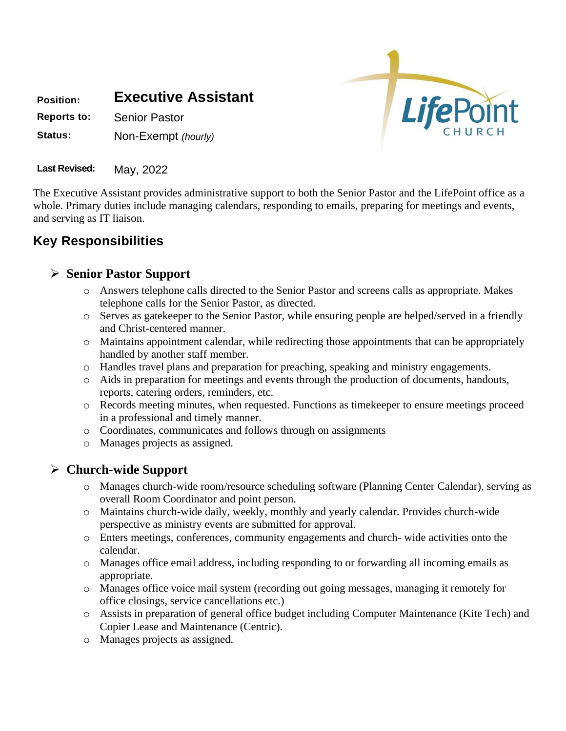**Position: Executive Assistant Reports to:** Senior Pastor

**Status:** Non-Exempt *(hourly)*



**Last Revised:** May, 2022

The Executive Assistant provides administrative support to both the Senior Pastor and the LifePoint office as a whole. Primary duties include managing calendars, responding to emails, preparing for meetings and events, and serving as IT liaison.

# **Key Responsibilities**

### ➢ **Senior Pastor Support**

- o Answers telephone calls directed to the Senior Pastor and screens calls as appropriate. Makes telephone calls for the Senior Pastor, as directed.
- o Serves as gatekeeper to the Senior Pastor, while ensuring people are helped/served in a friendly and Christ-centered manner.
- $\circ$  Maintains appointment calendar, while redirecting those appointments that can be appropriately handled by another staff member.
- o Handles travel plans and preparation for preaching, speaking and ministry engagements.
- o Aids in preparation for meetings and events through the production of documents, handouts, reports, catering orders, reminders, etc.
- o Records meeting minutes, when requested. Functions as timekeeper to ensure meetings proceed in a professional and timely manner.
- o Coordinates, communicates and follows through on assignments
- o Manages projects as assigned.

### ➢ **Church-wide Support**

- o Manages church-wide room/resource scheduling software (Planning Center Calendar), serving as overall Room Coordinator and point person.
- o Maintains church-wide daily, weekly, monthly and yearly calendar. Provides church-wide perspective as ministry events are submitted for approval.
- o Enters meetings, conferences, community engagements and church- wide activities onto the calendar.
- o Manages office email address, including responding to or forwarding all incoming emails as appropriate.
- o Manages office voice mail system (recording out going messages, managing it remotely for office closings, service cancellations etc.)
- o Assists in preparation of general office budget including Computer Maintenance (Kite Tech) and Copier Lease and Maintenance (Centric).
- o Manages projects as assigned.